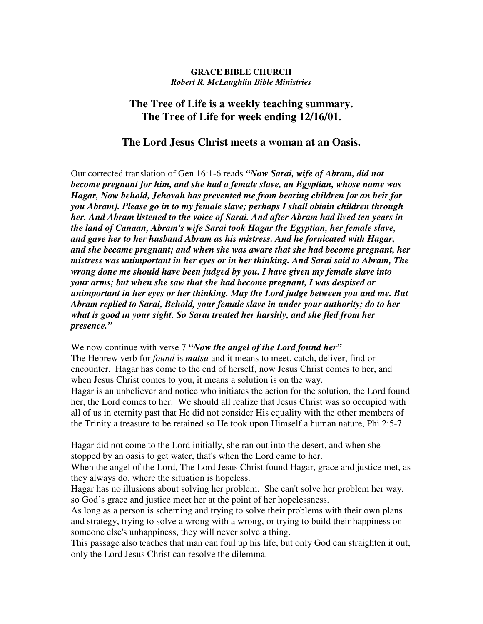## **GRACE BIBLE CHURCH** *Robert R. McLaughlin Bible Ministries*

## **The Tree of Life is a weekly teaching summary. The Tree of Life for week ending 12/16/01.**

## **The Lord Jesus Christ meets a woman at an Oasis.**

Our corrected translation of Gen 16:1-6 reads *"Now Sarai, wife of Abram, did not become pregnant for him, and she had a female slave, an Egyptian, whose name was Hagar, Now behold, Jehovah has prevented me from bearing children [or an heir for you Abram]. Please go in to my female slave; perhaps I shall obtain children through her. And Abram listened to the voice of Sarai. And after Abram had lived ten years in the land of Canaan, Abram's wife Sarai took Hagar the Egyptian, her female slave, and gave her to her husband Abram as his mistress. And he fornicated with Hagar, and she became pregnant; and when she was aware that she had become pregnant, her mistress was unimportant in her eyes or in her thinking. And Sarai said to Abram, The wrong done me should have been judged by you. I have given my female slave into your arms; but when she saw that she had become pregnant, I was despised or unimportant in her eyes or her thinking. May the Lord judge between you and me. But Abram replied to Sarai, Behold, your female slave in under your authority; do to her what is good in your sight. So Sarai treated her harshly, and she fled from her presence."*

We now continue with verse 7 *"Now the angel of the Lord found her"* The Hebrew verb for *found* is *matsa* and it means to meet, catch, deliver, find or encounter. Hagar has come to the end of herself, now Jesus Christ comes to her, and when Jesus Christ comes to you, it means a solution is on the way. Hagar is an unbeliever and notice who initiates the action for the solution, the Lord found her, the Lord comes to her. We should all realize that Jesus Christ was so occupied with all of us in eternity past that He did not consider His equality with the other members of the Trinity a treasure to be retained so He took upon Himself a human nature, Phi 2:5-7.

Hagar did not come to the Lord initially, she ran out into the desert, and when she stopped by an oasis to get water, that's when the Lord came to her.

When the angel of the Lord, The Lord Jesus Christ found Hagar, grace and justice met, as they always do, where the situation is hopeless.

Hagar has no illusions about solving her problem. She can't solve her problem her way, so God's grace and justice meet her at the point of her hopelessness.

As long as a person is scheming and trying to solve their problems with their own plans and strategy, trying to solve a wrong with a wrong, or trying to build their happiness on someone else's unhappiness, they will never solve a thing.

This passage also teaches that man can foul up his life, but only God can straighten it out, only the Lord Jesus Christ can resolve the dilemma.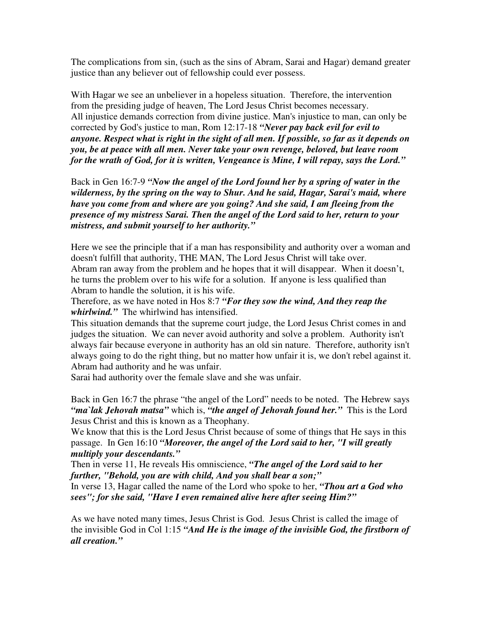The complications from sin, (such as the sins of Abram, Sarai and Hagar) demand greater justice than any believer out of fellowship could ever possess.

With Hagar we see an unbeliever in a hopeless situation. Therefore, the intervention from the presiding judge of heaven, The Lord Jesus Christ becomes necessary. All injustice demands correction from divine justice. Man's injustice to man, can only be corrected by God's justice to man, Rom 12:17-18 *"Never pay back evil for evil to anyone. Respect what is right in the sight of all men. If possible, so far as it depends on you, be at peace with all men. Never take your own revenge, beloved, but leave room for the wrath of God, for it is written, Vengeance is Mine, I will repay, says the Lord."*

Back in Gen 16:7-9 *"Now the angel of the Lord found her by a spring of water in the wilderness, by the spring on the way to Shur. And he said, Hagar, Sarai's maid, where have you come from and where are you going? And she said, I am fleeing from the presence of my mistress Sarai. Then the angel of the Lord said to her, return to your mistress, and submit yourself to her authority."*

Here we see the principle that if a man has responsibility and authority over a woman and doesn't fulfill that authority, THE MAN, The Lord Jesus Christ will take over. Abram ran away from the problem and he hopes that it will disappear. When it doesn't, he turns the problem over to his wife for a solution. If anyone is less qualified than Abram to handle the solution, it is his wife.

Therefore, as we have noted in Hos 8:7 *"For they sow the wind, And they reap the whirlwind."* The whirlwind has intensified.

This situation demands that the supreme court judge, the Lord Jesus Christ comes in and judges the situation. We can never avoid authority and solve a problem. Authority isn't always fair because everyone in authority has an old sin nature. Therefore, authority isn't always going to do the right thing, but no matter how unfair it is, we don't rebel against it. Abram had authority and he was unfair.

Sarai had authority over the female slave and she was unfair.

Back in Gen 16:7 the phrase "the angel of the Lord" needs to be noted. The Hebrew says *"ma`lak Jehovah matsa"* which is, *"the angel of Jehovah found her."* This is the Lord Jesus Christ and this is known as a Theophany.

We know that this is the Lord Jesus Christ because of some of things that He says in this passage. In Gen 16:10 *"Moreover, the angel of the Lord said to her, "I will greatly multiply your descendants."*

Then in verse 11, He reveals His omniscience, *"The angel of the Lord said to her further, "Behold, you are with child, And you shall bear a son;"*

In verse 13, Hagar called the name of the Lord who spoke to her, *"Thou art a God who sees"; for she said, "Have I even remained alive here after seeing Him?"*

As we have noted many times, Jesus Christ is God. Jesus Christ is called the image of the invisible God in Col 1:15 *"And He is the image of the invisible God, the firstborn of all creation."*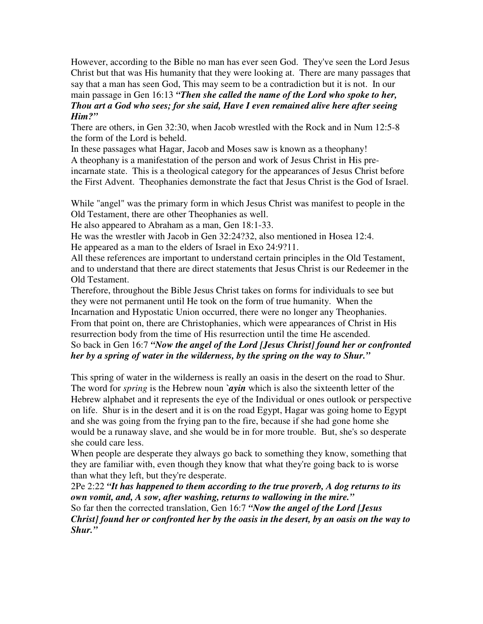However, according to the Bible no man has ever seen God. They've seen the Lord Jesus Christ but that was His humanity that they were looking at. There are many passages that say that a man has seen God, This may seem to be a contradiction but it is not. In our main passage in Gen 16:13 *"Then she called the name of the Lord who spoke to her, Thou art a God who sees; for she said, Have I even remained alive here after seeing Him?"*

There are others, in Gen 32:30, when Jacob wrestled with the Rock and in Num 12:5-8 the form of the Lord is beheld.

In these passages what Hagar, Jacob and Moses saw is known as a theophany! A theophany is a manifestation of the person and work of Jesus Christ in His preincarnate state. This is a theological category for the appearances of Jesus Christ before the First Advent. Theophanies demonstrate the fact that Jesus Christ is the God of Israel.

While "angel" was the primary form in which Jesus Christ was manifest to people in the Old Testament, there are other Theophanies as well.

He also appeared to Abraham as a man, Gen 18:1-33.

He was the wrestler with Jacob in Gen 32:24?32, also mentioned in Hosea 12:4.

He appeared as a man to the elders of Israel in Exo 24:9?11.

All these references are important to understand certain principles in the Old Testament, and to understand that there are direct statements that Jesus Christ is our Redeemer in the Old Testament.

Therefore, throughout the Bible Jesus Christ takes on forms for individuals to see but they were not permanent until He took on the form of true humanity. When the Incarnation and Hypostatic Union occurred, there were no longer any Theophanies. From that point on, there are Christophanies, which were appearances of Christ in His resurrection body from the time of His resurrection until the time He ascended. So back in Gen 16:7 *"Now the angel of the Lord [Jesus Christ] found her or confronted her by a spring of water in the wilderness, by the spring on the way to Shur."*

This spring of water in the wilderness is really an oasis in the desert on the road to Shur. The word for *spring* is the Hebrew noun *`ayin* which is also the sixteenth letter of the Hebrew alphabet and it represents the eye of the Individual or ones outlook or perspective on life. Shur is in the desert and it is on the road Egypt, Hagar was going home to Egypt and she was going from the frying pan to the fire, because if she had gone home she would be a runaway slave, and she would be in for more trouble. But, she's so desperate she could care less.

When people are desperate they always go back to something they know, something that they are familiar with, even though they know that what they're going back to is worse than what they left, but they're desperate.

2Pe 2:22 *"It has happened to them according to the true proverb, A dog returns to its own vomit, and, A sow, after washing, returns to wallowing in the mire."* So far then the corrected translation, Gen 16:7 *"Now the angel of the Lord [Jesus Christ] found her or confronted her by the oasis in the desert, by an oasis on the way to Shur."*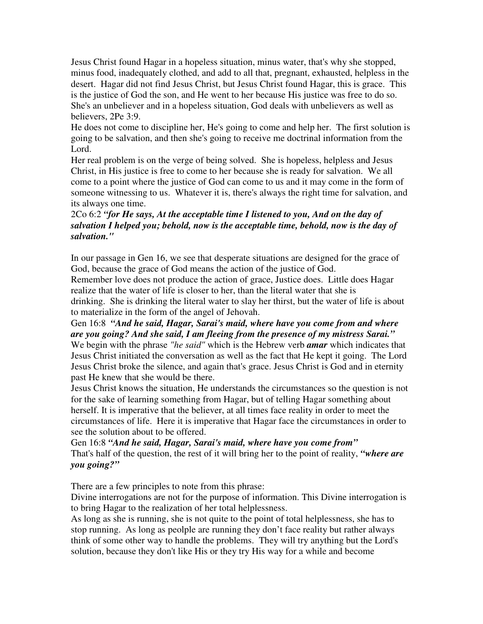Jesus Christ found Hagar in a hopeless situation, minus water, that's why she stopped, minus food, inadequately clothed, and add to all that, pregnant, exhausted, helpless in the desert. Hagar did not find Jesus Christ, but Jesus Christ found Hagar, this is grace. This is the justice of God the son, and He went to her because His justice was free to do so. She's an unbeliever and in a hopeless situation, God deals with unbelievers as well as believers, 2Pe 3:9.

He does not come to discipline her, He's going to come and help her. The first solution is going to be salvation, and then she's going to receive me doctrinal information from the Lord.

Her real problem is on the verge of being solved. She is hopeless, helpless and Jesus Christ, in His justice is free to come to her because she is ready for salvation. We all come to a point where the justice of God can come to us and it may come in the form of someone witnessing to us. Whatever it is, there's always the right time for salvation, and its always one time.

## 2Co 6:2 *"for He says, At the acceptable time I listened to you, And on the day of salvation I helped you; behold, now is the acceptable time, behold, now is the day of salvation."*

In our passage in Gen 16, we see that desperate situations are designed for the grace of God, because the grace of God means the action of the justice of God.

Remember love does not produce the action of grace, Justice does. Little does Hagar realize that the water of life is closer to her, than the literal water that she is drinking. She is drinking the literal water to slay her thirst, but the water of life is about to materialize in the form of the angel of Jehovah.

Gen 16:8 *"And he said, Hagar, Sarai's maid, where have you come from and where are you going? And she said, I am fleeing from the presence of my mistress Sarai."* We begin with the phrase *"he said"* which is the Hebrew verb *amar* which indicates that Jesus Christ initiated the conversation as well as the fact that He kept it going. The Lord Jesus Christ broke the silence, and again that's grace. Jesus Christ is God and in eternity past He knew that she would be there.

Jesus Christ knows the situation, He understands the circumstances so the question is not for the sake of learning something from Hagar, but of telling Hagar something about herself. It is imperative that the believer, at all times face reality in order to meet the circumstances of life. Here it is imperative that Hagar face the circumstances in order to see the solution about to be offered.

Gen 16:8 *"And he said, Hagar, Sarai's maid, where have you come from"* That's half of the question, the rest of it will bring her to the point of reality, *"where are you going?"*

There are a few principles to note from this phrase:

Divine interrogations are not for the purpose of information. This Divine interrogation is to bring Hagar to the realization of her total helplessness.

As long as she is running, she is not quite to the point of total helplessness, she has to stop running. As long as peolple are running they don't face reality but rather always think of some other way to handle the problems. They will try anything but the Lord's solution, because they don't like His or they try His way for a while and become